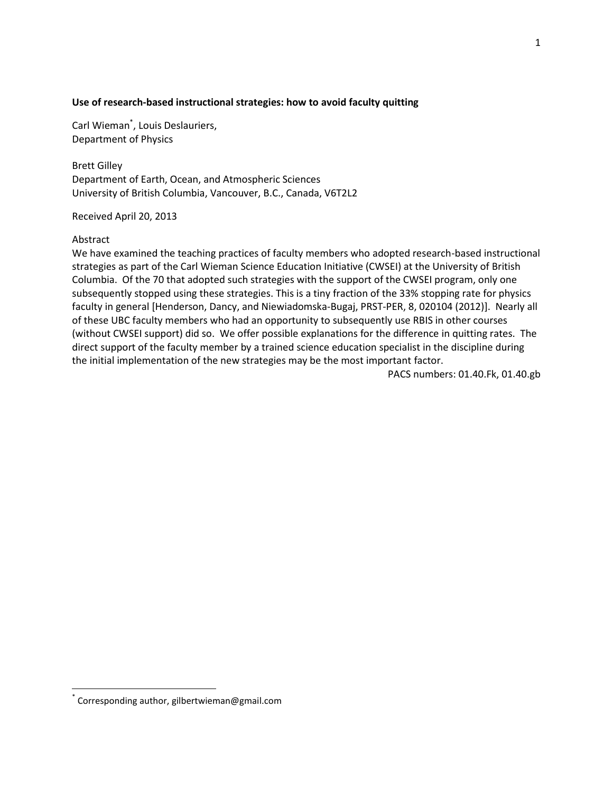# **Use of research-based instructional strategies: how to avoid faculty quitting**

Carl Wieman\* , Louis Deslauriers, Department of Physics

Brett Gilley Department of Earth, Ocean, and Atmospheric Sciences University of British Columbia, Vancouver, B.C., Canada, V6T2L2

Received April 20, 2013

# Abstract

 $\overline{\phantom{a}}$ 

We have examined the teaching practices of faculty members who adopted research-based instructional strategies as part of the Carl Wieman Science Education Initiative (CWSEI) at the University of British Columbia. Of the 70 that adopted such strategies with the support of the CWSEI program, only one subsequently stopped using these strategies. This is a tiny fraction of the 33% stopping rate for physics faculty in general [Henderson, Dancy, and Niewiadomska-Bugaj, PRST-PER, 8, 020104 (2012)]. Nearly all of these UBC faculty members who had an opportunity to subsequently use RBIS in other courses (without CWSEI support) did so. We offer possible explanations for the difference in quitting rates. The direct support of the faculty member by a trained science education specialist in the discipline during the initial implementation of the new strategies may be the most important factor.

PACS numbers: 01.40.Fk, 01.40.gb

<sup>\*</sup> Corresponding author, gilbertwieman@gmail.com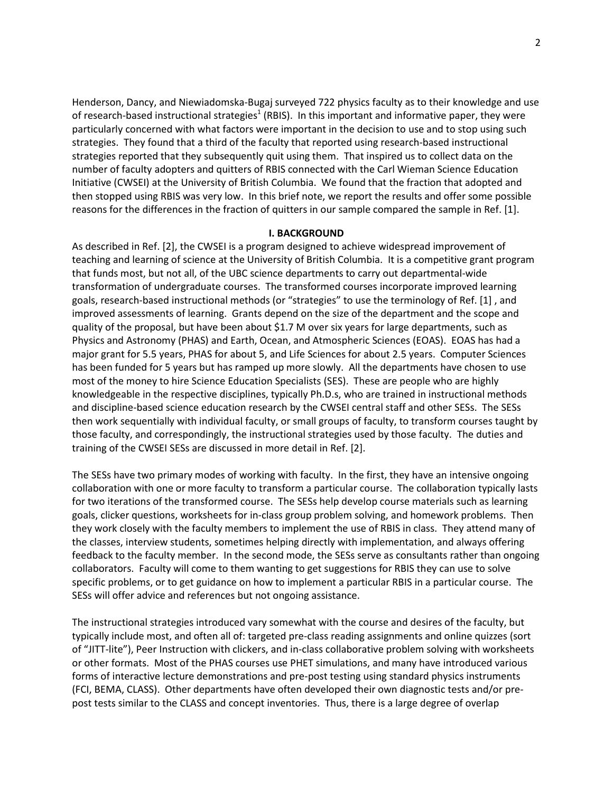Henderson, Dancy, and Niewiadomska-Bugaj surveyed 722 physics faculty as to their knowledge and use of research-based instructional strategies<sup>1</sup> (RBIS). In this important and informative paper, they were particularly concerned with what factors were important in the decision to use and to stop using such strategies. They found that a third of the faculty that reported using research-based instructional strategies reported that they subsequently quit using them. That inspired us to collect data on the number of faculty adopters and quitters of RBIS connected with the Carl Wieman Science Education Initiative (CWSEI) at the University of British Columbia. We found that the fraction that adopted and then stopped using RBIS was very low. In this brief note, we report the results and offer some possible reasons for the differences in the fraction of quitters in our sample compared the sample in Ref. [1].

### **I. BACKGROUND**

As described in Ref. [2], the CWSEI is a program designed to achieve widespread improvement of teaching and learning of science at the University of British Columbia. It is a competitive grant program that funds most, but not all, of the UBC science departments to carry out departmental-wide transformation of undergraduate courses. The transformed courses incorporate improved learning goals, research-based instructional methods (or "strategies" to use the terminology of Ref. [1] , and improved assessments of learning. Grants depend on the size of the department and the scope and quality of the proposal, but have been about \$1.7 M over six years for large departments, such as Physics and Astronomy (PHAS) and Earth, Ocean, and Atmospheric Sciences (EOAS). EOAS has had a major grant for 5.5 years, PHAS for about 5, and Life Sciences for about 2.5 years. Computer Sciences has been funded for 5 years but has ramped up more slowly. All the departments have chosen to use most of the money to hire Science Education Specialists (SES). These are people who are highly knowledgeable in the respective disciplines, typically Ph.D.s, who are trained in instructional methods and discipline-based science education research by the CWSEI central staff and other SESs. The SESs then work sequentially with individual faculty, or small groups of faculty, to transform courses taught by those faculty, and correspondingly, the instructional strategies used by those faculty. The duties and training of the CWSEI SESs are discussed in more detail in Ref. [2].

The SESs have two primary modes of working with faculty. In the first, they have an intensive ongoing collaboration with one or more faculty to transform a particular course. The collaboration typically lasts for two iterations of the transformed course. The SESs help develop course materials such as learning goals, clicker questions, worksheets for in-class group problem solving, and homework problems. Then they work closely with the faculty members to implement the use of RBIS in class. They attend many of the classes, interview students, sometimes helping directly with implementation, and always offering feedback to the faculty member. In the second mode, the SESs serve as consultants rather than ongoing collaborators. Faculty will come to them wanting to get suggestions for RBIS they can use to solve specific problems, or to get guidance on how to implement a particular RBIS in a particular course. The SESs will offer advice and references but not ongoing assistance.

The instructional strategies introduced vary somewhat with the course and desires of the faculty, but typically include most, and often all of: targeted pre-class reading assignments and online quizzes (sort of "JITT-lite"), Peer Instruction with clickers, and in-class collaborative problem solving with worksheets or other formats. Most of the PHAS courses use PHET simulations, and many have introduced various forms of interactive lecture demonstrations and pre-post testing using standard physics instruments (FCI, BEMA, CLASS). Other departments have often developed their own diagnostic tests and/or prepost tests similar to the CLASS and concept inventories. Thus, there is a large degree of overlap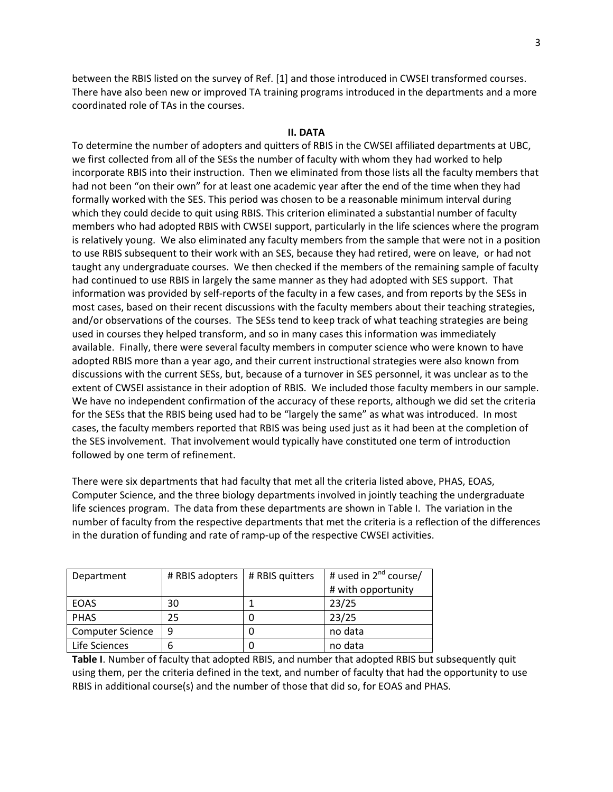between the RBIS listed on the survey of Ref. [1] and those introduced in CWSEI transformed courses. There have also been new or improved TA training programs introduced in the departments and a more coordinated role of TAs in the courses.

## **II. DATA**

To determine the number of adopters and quitters of RBIS in the CWSEI affiliated departments at UBC, we first collected from all of the SESs the number of faculty with whom they had worked to help incorporate RBIS into their instruction. Then we eliminated from those lists all the faculty members that had not been "on their own" for at least one academic year after the end of the time when they had formally worked with the SES. This period was chosen to be a reasonable minimum interval during which they could decide to quit using RBIS. This criterion eliminated a substantial number of faculty members who had adopted RBIS with CWSEI support, particularly in the life sciences where the program is relatively young. We also eliminated any faculty members from the sample that were not in a position to use RBIS subsequent to their work with an SES, because they had retired, were on leave, or had not taught any undergraduate courses. We then checked if the members of the remaining sample of faculty had continued to use RBIS in largely the same manner as they had adopted with SES support. That information was provided by self-reports of the faculty in a few cases, and from reports by the SESs in most cases, based on their recent discussions with the faculty members about their teaching strategies, and/or observations of the courses. The SESs tend to keep track of what teaching strategies are being used in courses they helped transform, and so in many cases this information was immediately available. Finally, there were several faculty members in computer science who were known to have adopted RBIS more than a year ago, and their current instructional strategies were also known from discussions with the current SESs, but, because of a turnover in SES personnel, it was unclear as to the extent of CWSEI assistance in their adoption of RBIS. We included those faculty members in our sample. We have no independent confirmation of the accuracy of these reports, although we did set the criteria for the SESs that the RBIS being used had to be "largely the same" as what was introduced. In most cases, the faculty members reported that RBIS was being used just as it had been at the completion of the SES involvement. That involvement would typically have constituted one term of introduction followed by one term of refinement.

There were six departments that had faculty that met all the criteria listed above, PHAS, EOAS, Computer Science, and the three biology departments involved in jointly teaching the undergraduate life sciences program. The data from these departments are shown in Table I. The variation in the number of faculty from the respective departments that met the criteria is a reflection of the differences in the duration of funding and rate of ramp-up of the respective CWSEI activities.

| Department              | # RBIS adopters   # RBIS quitters | # used in $2^{nd}$ course/ |
|-------------------------|-----------------------------------|----------------------------|
|                         |                                   | # with opportunity         |
| <b>EOAS</b>             | 30                                | 23/25                      |
| <b>PHAS</b>             | 25                                | 23/25                      |
| <b>Computer Science</b> |                                   | no data                    |
| Life Sciences           | b                                 | no data                    |

**Table I**. Number of faculty that adopted RBIS, and number that adopted RBIS but subsequently quit using them, per the criteria defined in the text, and number of faculty that had the opportunity to use RBIS in additional course(s) and the number of those that did so, for EOAS and PHAS.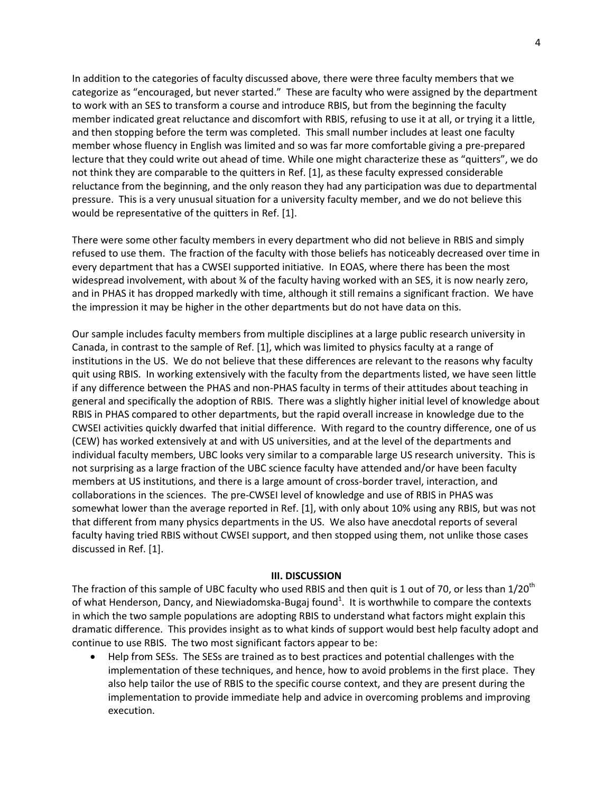In addition to the categories of faculty discussed above, there were three faculty members that we categorize as "encouraged, but never started." These are faculty who were assigned by the department to work with an SES to transform a course and introduce RBIS, but from the beginning the faculty member indicated great reluctance and discomfort with RBIS, refusing to use it at all, or trying it a little, and then stopping before the term was completed. This small number includes at least one faculty member whose fluency in English was limited and so was far more comfortable giving a pre-prepared lecture that they could write out ahead of time. While one might characterize these as "quitters", we do not think they are comparable to the quitters in Ref. [1], as these faculty expressed considerable reluctance from the beginning, and the only reason they had any participation was due to departmental pressure. This is a very unusual situation for a university faculty member, and we do not believe this would be representative of the quitters in Ref. [1].

There were some other faculty members in every department who did not believe in RBIS and simply refused to use them. The fraction of the faculty with those beliefs has noticeably decreased over time in every department that has a CWSEI supported initiative. In EOAS, where there has been the most widespread involvement, with about % of the faculty having worked with an SES, it is now nearly zero, and in PHAS it has dropped markedly with time, although it still remains a significant fraction. We have the impression it may be higher in the other departments but do not have data on this.

Our sample includes faculty members from multiple disciplines at a large public research university in Canada, in contrast to the sample of Ref. [1], which was limited to physics faculty at a range of institutions in the US. We do not believe that these differences are relevant to the reasons why faculty quit using RBIS. In working extensively with the faculty from the departments listed, we have seen little if any difference between the PHAS and non-PHAS faculty in terms of their attitudes about teaching in general and specifically the adoption of RBIS. There was a slightly higher initial level of knowledge about RBIS in PHAS compared to other departments, but the rapid overall increase in knowledge due to the CWSEI activities quickly dwarfed that initial difference. With regard to the country difference, one of us (CEW) has worked extensively at and with US universities, and at the level of the departments and individual faculty members, UBC looks very similar to a comparable large US research university. This is not surprising as a large fraction of the UBC science faculty have attended and/or have been faculty members at US institutions, and there is a large amount of cross-border travel, interaction, and collaborations in the sciences. The pre-CWSEI level of knowledge and use of RBIS in PHAS was somewhat lower than the average reported in Ref. [1], with only about 10% using any RBIS, but was not that different from many physics departments in the US. We also have anecdotal reports of several faculty having tried RBIS without CWSEI support, and then stopped using them, not unlike those cases discussed in Ref. [1].

#### **III. DISCUSSION**

The fraction of this sample of UBC faculty who used RBIS and then quit is 1 out of 70, or less than 1/20<sup>th</sup> of what Henderson, Dancy, and Niewiadomska-Bugaj found<sup>1</sup>. It is worthwhile to compare the contexts in which the two sample populations are adopting RBIS to understand what factors might explain this dramatic difference. This provides insight as to what kinds of support would best help faculty adopt and continue to use RBIS. The two most significant factors appear to be:

 Help from SESs. The SESs are trained as to best practices and potential challenges with the implementation of these techniques, and hence, how to avoid problems in the first place. They also help tailor the use of RBIS to the specific course context, and they are present during the implementation to provide immediate help and advice in overcoming problems and improving execution.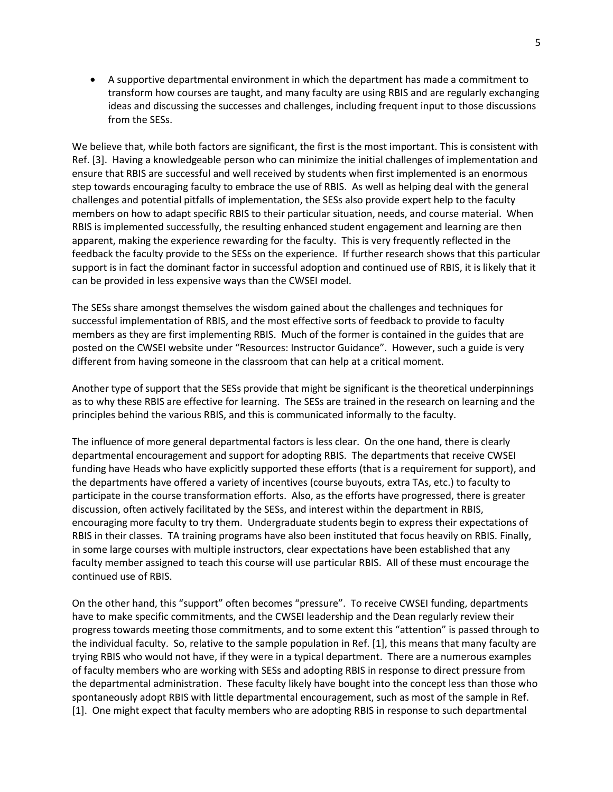A supportive departmental environment in which the department has made a commitment to transform how courses are taught, and many faculty are using RBIS and are regularly exchanging ideas and discussing the successes and challenges, including frequent input to those discussions from the SESs.

We believe that, while both factors are significant, the first is the most important. This is consistent with Ref. [3]. Having a knowledgeable person who can minimize the initial challenges of implementation and ensure that RBIS are successful and well received by students when first implemented is an enormous step towards encouraging faculty to embrace the use of RBIS. As well as helping deal with the general challenges and potential pitfalls of implementation, the SESs also provide expert help to the faculty members on how to adapt specific RBIS to their particular situation, needs, and course material. When RBIS is implemented successfully, the resulting enhanced student engagement and learning are then apparent, making the experience rewarding for the faculty. This is very frequently reflected in the feedback the faculty provide to the SESs on the experience. If further research shows that this particular support is in fact the dominant factor in successful adoption and continued use of RBIS, it is likely that it can be provided in less expensive ways than the CWSEI model.

The SESs share amongst themselves the wisdom gained about the challenges and techniques for successful implementation of RBIS, and the most effective sorts of feedback to provide to faculty members as they are first implementing RBIS. Much of the former is contained in the guides that are posted on the CWSEI website under "Resources: Instructor Guidance". However, such a guide is very different from having someone in the classroom that can help at a critical moment.

Another type of support that the SESs provide that might be significant is the theoretical underpinnings as to why these RBIS are effective for learning. The SESs are trained in the research on learning and the principles behind the various RBIS, and this is communicated informally to the faculty.

The influence of more general departmental factors is less clear. On the one hand, there is clearly departmental encouragement and support for adopting RBIS. The departments that receive CWSEI funding have Heads who have explicitly supported these efforts (that is a requirement for support), and the departments have offered a variety of incentives (course buyouts, extra TAs, etc.) to faculty to participate in the course transformation efforts. Also, as the efforts have progressed, there is greater discussion, often actively facilitated by the SESs, and interest within the department in RBIS, encouraging more faculty to try them. Undergraduate students begin to express their expectations of RBIS in their classes. TA training programs have also been instituted that focus heavily on RBIS. Finally, in some large courses with multiple instructors, clear expectations have been established that any faculty member assigned to teach this course will use particular RBIS. All of these must encourage the continued use of RBIS.

On the other hand, this "support" often becomes "pressure". To receive CWSEI funding, departments have to make specific commitments, and the CWSEI leadership and the Dean regularly review their progress towards meeting those commitments, and to some extent this "attention" is passed through to the individual faculty. So, relative to the sample population in Ref. [1], this means that many faculty are trying RBIS who would not have, if they were in a typical department. There are a numerous examples of faculty members who are working with SESs and adopting RBIS in response to direct pressure from the departmental administration. These faculty likely have bought into the concept less than those who spontaneously adopt RBIS with little departmental encouragement, such as most of the sample in Ref. [1]. One might expect that faculty members who are adopting RBIS in response to such departmental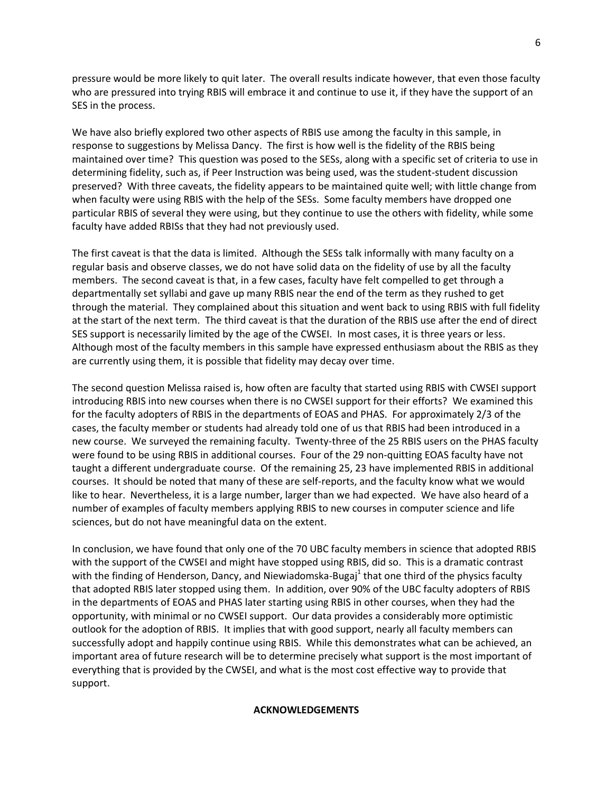pressure would be more likely to quit later. The overall results indicate however, that even those faculty who are pressured into trying RBIS will embrace it and continue to use it, if they have the support of an SES in the process.

We have also briefly explored two other aspects of RBIS use among the faculty in this sample, in response to suggestions by Melissa Dancy. The first is how well is the fidelity of the RBIS being maintained over time? This question was posed to the SESs, along with a specific set of criteria to use in determining fidelity, such as, if Peer Instruction was being used, was the student-student discussion preserved? With three caveats, the fidelity appears to be maintained quite well; with little change from when faculty were using RBIS with the help of the SESs. Some faculty members have dropped one particular RBIS of several they were using, but they continue to use the others with fidelity, while some faculty have added RBISs that they had not previously used.

The first caveat is that the data is limited. Although the SESs talk informally with many faculty on a regular basis and observe classes, we do not have solid data on the fidelity of use by all the faculty members. The second caveat is that, in a few cases, faculty have felt compelled to get through a departmentally set syllabi and gave up many RBIS near the end of the term as they rushed to get through the material. They complained about this situation and went back to using RBIS with full fidelity at the start of the next term. The third caveat is that the duration of the RBIS use after the end of direct SES support is necessarily limited by the age of the CWSEI. In most cases, it is three years or less. Although most of the faculty members in this sample have expressed enthusiasm about the RBIS as they are currently using them, it is possible that fidelity may decay over time.

The second question Melissa raised is, how often are faculty that started using RBIS with CWSEI support introducing RBIS into new courses when there is no CWSEI support for their efforts? We examined this for the faculty adopters of RBIS in the departments of EOAS and PHAS. For approximately 2/3 of the cases, the faculty member or students had already told one of us that RBIS had been introduced in a new course. We surveyed the remaining faculty. Twenty-three of the 25 RBIS users on the PHAS faculty were found to be using RBIS in additional courses. Four of the 29 non-quitting EOAS faculty have not taught a different undergraduate course. Of the remaining 25, 23 have implemented RBIS in additional courses. It should be noted that many of these are self-reports, and the faculty know what we would like to hear. Nevertheless, it is a large number, larger than we had expected. We have also heard of a number of examples of faculty members applying RBIS to new courses in computer science and life sciences, but do not have meaningful data on the extent.

In conclusion, we have found that only one of the 70 UBC faculty members in science that adopted RBIS with the support of the CWSEI and might have stopped using RBIS, did so. This is a dramatic contrast with the finding of Henderson, Dancy, and Niewiadomska-Bugaj<sup>1</sup> that one third of the physics faculty that adopted RBIS later stopped using them. In addition, over 90% of the UBC faculty adopters of RBIS in the departments of EOAS and PHAS later starting using RBIS in other courses, when they had the opportunity, with minimal or no CWSEI support. Our data provides a considerably more optimistic outlook for the adoption of RBIS. It implies that with good support, nearly all faculty members can successfully adopt and happily continue using RBIS. While this demonstrates what can be achieved, an important area of future research will be to determine precisely what support is the most important of everything that is provided by the CWSEI, and what is the most cost effective way to provide that support.

### **ACKNOWLEDGEMENTS**